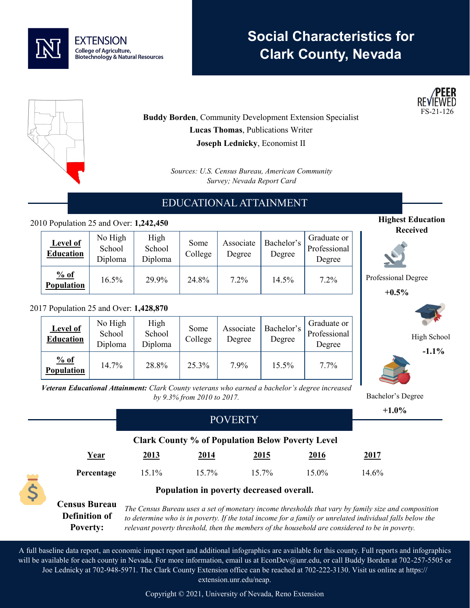

# **Social Characteristics for Clark County, Nevada**





**Buddy Borden**, Community Development Extension Specialist **Lucas Thomas**, Publications Writer **Joseph Lednicky**, Economist II

> *Sources: U.S. Census Bureau, American Community Survey; Nevada Report Card*

# EDUCATIONAL ATTAINMENT

### 2010 Population 25 and Over: **1,242,450**

| <b>Level of</b><br><b>Education</b> | No High<br>School<br>Diploma | High<br>School<br>Diploma | Some<br>College | Associate<br>Degree | Bachelor's<br>Degree | Graduate or<br>Professional<br>Degree |
|-------------------------------------|------------------------------|---------------------------|-----------------|---------------------|----------------------|---------------------------------------|
| % of<br>Population                  | $16.5\%$                     | 29.9%                     | 24.8%           | $7.2\%$             | 14.5%                | $7.2\%$                               |

#### 2017 Population 25 and Over: **1,428,870**

| <b>Level of</b><br><b>Education</b> | No High<br>School<br>Diploma | High<br>School<br>Diploma | Some<br>College | Associate<br>Degree | Bachelor's<br>Degree | Graduate or<br>Professional<br>Degree |
|-------------------------------------|------------------------------|---------------------------|-----------------|---------------------|----------------------|---------------------------------------|
| % of<br>Population                  | 14.7%                        | 28.8%                     | 25.3%           | 7.9%                | 15.5%                | $7.7\%$                               |

**Highest Education Received**

Professional Degree

**+0.5%**



High School

**-1.1%**



Bachelor's Degree

*Veteran Educational Attainment: Clark County veterans who earned a bachelor's degree increased by 9.3% from 2010 to 2017.*

|  |                                                                 | <b>POVERTY</b>                                                                                                                                                                                                                                                                                                    |       |                                                         |             |       | $+1.0\%$ |  |
|--|-----------------------------------------------------------------|-------------------------------------------------------------------------------------------------------------------------------------------------------------------------------------------------------------------------------------------------------------------------------------------------------------------|-------|---------------------------------------------------------|-------------|-------|----------|--|
|  |                                                                 |                                                                                                                                                                                                                                                                                                                   |       |                                                         |             |       |          |  |
|  |                                                                 |                                                                                                                                                                                                                                                                                                                   |       | <b>Clark County % of Population Below Poverty Level</b> |             |       |          |  |
|  | Year                                                            | <u>2013</u>                                                                                                                                                                                                                                                                                                       | 2014  | 2015                                                    | <u>2016</u> | 2017  |          |  |
|  | Percentage                                                      | 15.1%                                                                                                                                                                                                                                                                                                             | 15.7% | 15.7%                                                   | 15.0%       | 14.6% |          |  |
|  | Population in poverty decreased overall.                        |                                                                                                                                                                                                                                                                                                                   |       |                                                         |             |       |          |  |
|  | <b>Census Bureau</b><br><b>Definition of</b><br><b>Poverty:</b> | The Census Bureau uses a set of monetary income thresholds that vary by family size and composition<br>to determine who is in poverty. If the total income for a family or unrelated individual falls below the<br>relevant poverty threshold, then the members of the household are considered to be in poverty. |       |                                                         |             |       |          |  |

A full baseline data report, an economic impact report and additional infographics are available for this county. Full reports and infographics will be available for each county in Nevada. For more information, email us at EconDev@unr.edu, or call Buddy Borden at 702-257-5505 or Joe Lednicky at 702-948-5971. The Clark County Extension office can be reached at 702-222-3130. Visit us online at https:// extension.unr.edu/neap.

Copyright © 2021, University of Nevada, Reno Extension